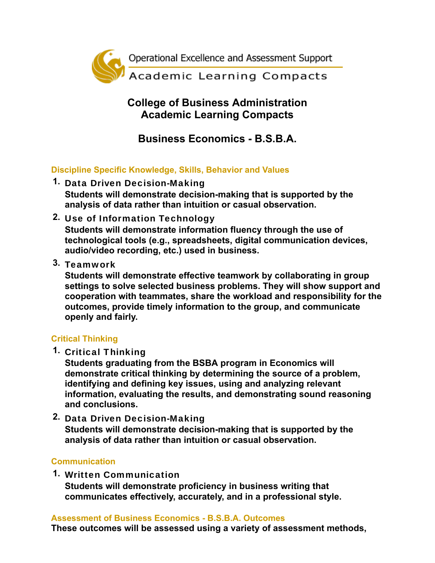

## **College of Business Administration Academic Learning Compacts**

# **Business Economics - B.S.B.A.**

**Discipline Specific Knowledge, Skills, Behavior and Values**

- **1.** Data Driven Decision-Making **Students will demonstrate decision-making that is supported by the analysis of data rather than intuition or casual observation.**
- **2.** Use of Information Technology **Students will demonstrate information fluency through the use of technological tools (e.g., spreadsheets, digital communication devices, audio/video recording, etc.) used in business.**
- **3.** Teamwork

**Students will demonstrate effective teamwork by collaborating in group settings to solve selected business problems. They will show support and cooperation with teammates, share the workload and responsibility for the outcomes, provide timely information to the group, and communicate openly and fairly.**

### **Critical Thinking**

**1.** Critical Thinking

**Students graduating from the BSBA program in Economics will demonstrate critical thinking by determining the source of a problem, identifying and defining key issues, using and analyzing relevant information, evaluating the results, and demonstrating sound reasoning and conclusions.**

**2.** Data Driven Decision-Making **Students will demonstrate decision-making that is supported by the analysis of data rather than intuition or casual observation.**

### **Communication**

**1.** Written Communication **Students will demonstrate proficiency in business writing that communicates effectively, accurately, and in a professional style.**

### **Assessment of Business Economics - B.S.B.A. Outcomes**

**These outcomes will be assessed using a variety of assessment methods,**